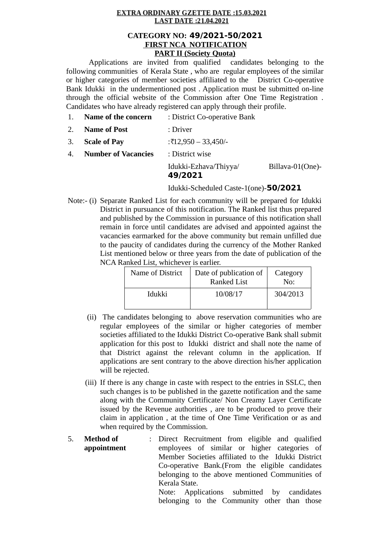## **EXTRA ORDINARY GZETTE DATE:15.03.2021 LAST DATE:21.04.2021**

# **CATEGORY NO: 49/2021-50/2021 FIRST NCA NOTIFICATION PART II (Society Quota)**

Applications are invited from qualified candidates belonging to the following communities of Kerala State , who are regular employees of the similar or higher categories of member societies affiliated to the District Co-operative Bank Idukki in the undermentioned post . Application must be submitted on-line through the official website of the Commission after One Time Registration . Candidates who have already registered can apply through their profile.

1. **Name of the concern** : District Co-operative Bank 2. **Name of Post** : Driver 3. **Scale of Pay** :₹12,950 – 33,450/- 4. **Number of Vacancies** : District wise Idukki-Ezhava/Thiyya/ Billava-01(One)- **49/2021**

Idukki-Scheduled Caste-1(one)-**50/2021**

Note:- (i) Separate Ranked List for each community will be prepared for Idukki District in pursuance of this notification. The Ranked list thus prepared and published by the Commission in pursuance of this notification shall remain in force until candidates are advised and appointed against the vacancies earmarked for the above community but remain unfilled due to the paucity of candidates during the currency of the Mother Ranked List mentioned below or three years from the date of publication of the NCA Ranked List, whichever is earlier.

| Name of District | Date of publication of<br><b>Ranked List</b> |          |
|------------------|----------------------------------------------|----------|
| Idukki           | 10/08/17                                     | 304/2013 |

- (ii) The candidates belonging to above reservation communities who are regular employees of the similar or higher categories of member societies affiliated to the Idukki District Co-operative Bank shall submit application for this post to Idukki district and shall note the name of that District against the relevant column in the application. If applications are sent contrary to the above direction his/her application will be rejected.
- (iii) If there is any change in caste with respect to the entries in SSLC, then such changes is to be published in the gazette notification and the same along with the Community Certificate/ Non Creamy Layer Certificate issued by the Revenue authorities , are to be produced to prove their claim in application , at the time of One Time Verification or as and when required by the Commission.
- 5. **Method of appointment** : Direct Recruitment from eligible and qualified employees of similar or higher categories of Member Societies affiliated to the Idukki District Co-operative Bank.(From the eligible candidates belonging to the above mentioned Communities of Kerala State.

Note: Applications submitted by candidates belonging to the Community other than those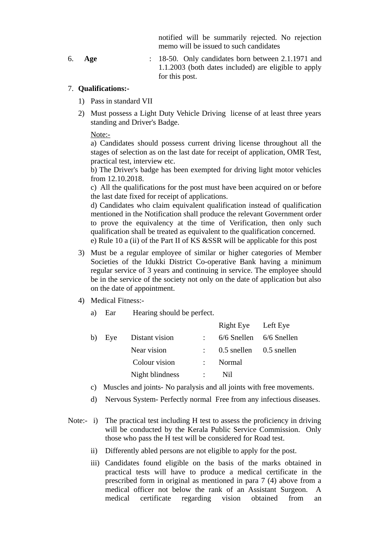notified will be summarily rejected. No rejection memo will be issued to such candidates

6. **Age** : 18-50. Only candidates born between 2.1.1971 and 1.1.2003 (both dates included) are eligible to apply for this post.

## 7. **Qualifications:-**

- 1) Pass in standard VII
- 2) Must possess a Light Duty Vehicle Driving license of at least three years standing and Driver's Badge.

Note:-

a) Candidates should possess current driving license throughout all the stages of selection as on the last date for receipt of application, OMR Test, practical test, interview etc.

b) The Driver's badge has been exempted for driving light motor vehicles from 12.10.2018.

c) All the qualifications for the post must have been acquired on or before the last date fixed for receipt of applications.

d) Candidates who claim equivalent qualification instead of qualification mentioned in the Notification shall produce the relevant Government order to prove the equivalency at the time of Verification, then only such qualification shall be treated as equivalent to the qualification concerned. e) Rule 10 a (ii) of the Part II of KS &SSR will be applicable for this post

- 3) Must be a regular employee of similar or higher categories of Member Societies of the Idukki District Co-operative Bank having a minimum regular service of 3 years and continuing in service. The employee should be in the service of the society not only on the date of application but also on the date of appointment.
- 4) Medical Fitness:
	- a) Ear Hearing should be perfect.

|        |                 |               | Right Eye Left Eye                   |  |
|--------|-----------------|---------------|--------------------------------------|--|
| b) Eye | Distant vision  |               | 6/6 Snellen 6/6 Snellen              |  |
|        | Near vision     |               | $\therefore$ 0.5 snellen 0.5 snellen |  |
|        | Colour vision   | $\mathcal{L}$ | Normal                               |  |
|        | Night blindness |               | Nil                                  |  |

- c) Muscles and joints- No paralysis and all joints with free movements.
- d) Nervous System- Perfectly normal Free from any infectious diseases.
- Note:- i) The practical test including H test to assess the proficiency in driving will be conducted by the Kerala Public Service Commission. Only those who pass the H test will be considered for Road test.
	- ii) Differently abled persons are not eligible to apply for the post.
	- iii) Candidates found eligible on the basis of the marks obtained in practical tests will have to produce a medical certificate in the prescribed form in original as mentioned in para 7 (4) above from a medical officer not below the rank of an Assistant Surgeon. A medical certificate regarding vision obtained from an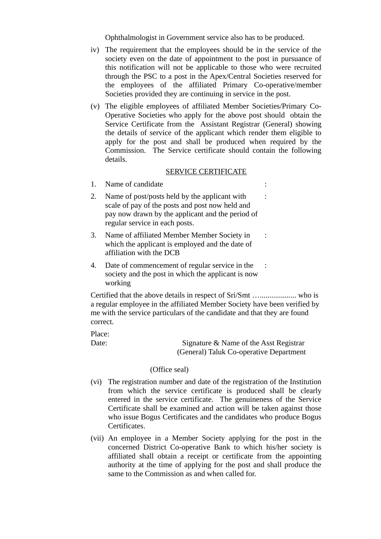Ophthalmologist in Government service also has to be produced.

- iv) The requirement that the employees should be in the service of the society even on the date of appointment to the post in pursuance of this notification will not be applicable to those who were recruited through the PSC to a post in the Apex/Central Societies reserved for the employees of the affiliated Primary Co-operative/member Societies provided they are continuing in service in the post.
- (v) The eligible employees of affiliated Member Societies/Primary Co-Operative Societies who apply for the above post should obtain the Service Certificate from the Assistant Registrar (General) showing the details of service of the applicant which render them eligible to apply for the post and shall be produced when required by the Commission. The Service certificate should contain the following details.

## SERVICE CERTIFICATE

- 1. Name of candidate :
- 2. Name of post/posts held by the applicant with scale of pay of the posts and post now held and pay now drawn by the applicant and the period of regular service in each posts. :
- 3. Name of affiliated Member Member Society in which the applicant is employed and the date of affiliation with the DCB :
- 4. Date of commencement of regular service in the society and the post in which the applicant is now working :

Certified that the above details in respect of Sri/Smt …................... who is a regular employee in the affiliated Member Society have been verified by me with the service particulars of the candidate and that they are found correct.

Place:

Date: Signature & Name of the Asst Registrar (General) Taluk Co-operative Department

#### (Office seal)

- (vi) The registration number and date of the registration of the Institution from which the service certificate is produced shall be clearly entered in the service certificate. The genuineness of the Service Certificate shall be examined and action will be taken against those who issue Bogus Certificates and the candidates who produce Bogus Certificates.
- (vii) An employee in a Member Society applying for the post in the concerned District Co-operative Bank to which his/her society is affiliated shall obtain a receipt or certificate from the appointing authority at the time of applying for the post and shall produce the same to the Commission as and when called for.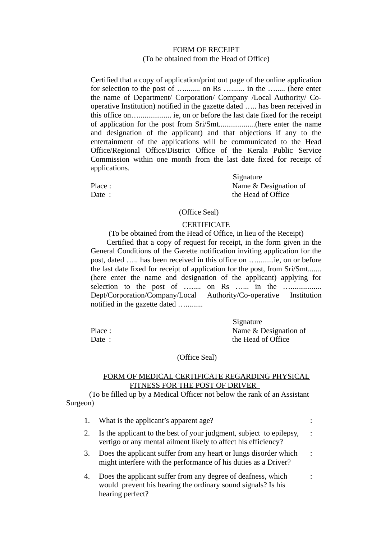# FORM OF RECEIPT (To be obtained from the Head of Office)

Certified that a copy of application/print out page of the online application for selection to the post of …........ on Rs …....... in the …..... (here enter the name of Department/ Corporation/ Company /Local Authority/ Cooperative Institution) notified in the gazette dated ….. has been received in this office on…................. ie, on or before the last date fixed for the receipt of application for the post from Sri/Smt...................(here enter the name and designation of the applicant) and that objections if any to the entertainment of the applications will be communicated to the Head Office/Regional Office/District Office of the Kerala Public Service Commission within one month from the last date fixed for receipt of applications.

 Signature Place : Name & Designation of Date : the Head of Office

(Office Seal)

# **CERTIFICATE**

(To be obtained from the Head of Office, in lieu of the Receipt)

 Certified that a copy of request for receipt, in the form given in the General Conditions of the Gazette notification inviting application for the post, dated ….. has been received in this office on ….........ie, on or before the last date fixed for receipt of application for the post, from Sri/Smt....... (here enter the name and designation of the applicant) applying for selection to the post of …..... on Rs …... in the …................. Dept/Corporation/Company/Local Authority/Co-operative Institution notified in the gazette dated ….........

 Signature Place : Name & Designation of Date : the Head of Office

## (Office Seal)

## FORM OF MEDICAL CERTIFICATE REGARDING PHYSICAL FITNESS FOR THE POST OF DRIVER

(To be filled up by a Medical Officer not below the rank of an Assistant Surgeon)

|    | What is the applicant's apparent age?                                                                                                            |                |
|----|--------------------------------------------------------------------------------------------------------------------------------------------------|----------------|
|    | Is the applicant to the best of your judgment, subject to epilepsy,<br>vertigo or any mental ailment likely to affect his efficiency?            | $\ddot{\cdot}$ |
| З. | Does the applicant suffer from any heart or lungs disorder which<br>might interfere with the performance of his duties as a Driver?              | $\ddot{\cdot}$ |
| 4. | Does the applicant suffer from any degree of deafness, which<br>would prevent his hearing the ordinary sound signals? Is his<br>hearing perfect? |                |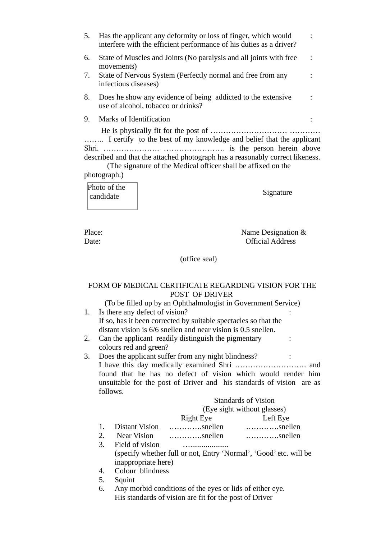| 5.                                                                                                                                                                                                                                    | Has the applicant any deformity or loss of finger, which would<br>interfere with the efficient performance of his duties as a driver? |  |  |
|---------------------------------------------------------------------------------------------------------------------------------------------------------------------------------------------------------------------------------------|---------------------------------------------------------------------------------------------------------------------------------------|--|--|
| 6.                                                                                                                                                                                                                                    | State of Muscles and Joints (No paralysis and all joints with free<br>movements)                                                      |  |  |
| 7.                                                                                                                                                                                                                                    | State of Nervous System (Perfectly normal and free from any<br>infectious diseases)                                                   |  |  |
| 8.                                                                                                                                                                                                                                    | Does he show any evidence of being addicted to the extensive<br>use of alcohol, tobacco or drinks?                                    |  |  |
| 9.                                                                                                                                                                                                                                    | Marks of Identification                                                                                                               |  |  |
| I certify to the best of my knowledge and belief that the applicant<br>described and that the attached photograph has a reasonably correct likeness.<br>(The signature of the Medical officer shall be affixed on the<br>photograph.) |                                                                                                                                       |  |  |
|                                                                                                                                                                                                                                       | Photo of the<br>Signature<br>candidate                                                                                                |  |  |
|                                                                                                                                                                                                                                       |                                                                                                                                       |  |  |

Place: Name Designation & Date: Official Address

:

(office seal)

# FORM OF MEDICAL CERTIFICATE REGARDING VISION FOR THE POST OF DRIVER

(To be filled up by an Ophthalmologist in Government Service) 1. Is there any defect of vision? :

If so, has it been corrected by suitable spectacles so that the distant vision is 6/6 snellen and near vision is 0.5 snellen.

- 2. Can the applicant readily distinguish the pigmentary colours red and green?
- 3. Does the applicant suffer from any night blindness? : : I have this day medically examined Shri ………………………. and found that he has no defect of vision which would render him unsuitable for the post of Driver and his standards of vision are as follows.  $\overline{S}$   $\overline{S}$   $\overline{S}$   $\overline{S}$   $\overline{S}$   $\overline{S}$   $\overline{S}$   $\overline{S}$   $\overline{S}$   $\overline{S}$   $\overline{S}$   $\overline{S}$   $\overline{S}$   $\overline{S}$   $\overline{S}$   $\overline{S}$   $\overline{S}$   $\overline{S}$   $\overline{S}$   $\overline{S}$   $\overline{S}$   $\overline{S}$   $\overline{S}$   $\overline{S}$   $\overline{$

|                    | <b>Standards of Vision</b>                                   |                                    |
|--------------------|--------------------------------------------------------------|------------------------------------|
|                    | (Eye sight without glasses)                                  |                                    |
|                    | Right Eye                                                    | Left Eye                           |
| 1. Distant Vision  | . snellen                                                    | $\ldots\ldots\ldots\ldots$ snellen |
| 2. Near Vision     | $\ldots\ldots\ldots\ldots$ snellen                           | $\ldots\ldots\ldots\ldots$ snellen |
| 3. Field of vision |                                                              |                                    |
|                    | (specify whother full or not Future Normal) 'Cood' at will b |                                    |

(specify whether full or not, Entry 'Normal', 'Good' etc. will be inappropriate here)

4. Colour blindness

5. Squint

6. Any morbid conditions of the eyes or lids of either eye. His standards of vision are fit for the post of Driver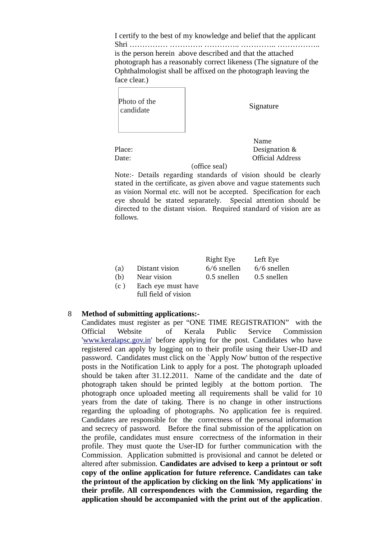I certify to the best of my knowledge and belief that the applicant Shri …………… …………. ………….. ………….. …………….. is the person herein above described and that the attached photograph has a reasonably correct likeness (The signature of the Ophthalmologist shall be affixed on the photograph leaving the face clear.)

| Photo of the<br>candidate |  |
|---------------------------|--|
|                           |  |

Signature

 Name Place: Designation & Date: **Date: Participal Address** 

#### (office seal)

Note:- Details regarding standards of vision should be clearly stated in the certificate, as given above and vague statements such as vision Normal etc. will not be accepted. Specification for each eye should be stated separately. Special attention should be directed to the distant vision. Required standard of vision are as follows.

|     |                    | Right Lye     | Left Eye      |
|-----|--------------------|---------------|---------------|
| (a) | Distant vision     | $6/6$ snellen | $6/6$ snellen |
| (b) | Near vision        | 0.5 snellen   | 0.5 snellen   |
| (c) | Each eye must have |               |               |

full field of vision

Right Eye Left Eye

# 8 **Method of submitting applications:-**

Candidates must register as per "ONE TIME REGISTRATION" with the Official Website of Kerala Public Service Commission ['www.keralapsc.gov.in](http://www.keralapsc.gov.in/)' before applying for the post. Candidates who have registered can apply by logging on to their profile using their User-ID and password. Candidates must click on the `Apply Now' button of the respective posts in the Notification Link to apply for a post. The photograph uploaded should be taken after 31.12.2011. Name of the candidate and the date of photograph taken should be printed legibly at the bottom portion. The photograph once uploaded meeting all requirements shall be valid for 10 years from the date of taking. There is no change in other instructions regarding the uploading of photographs. No application fee is required. Candidates are responsible for the correctness of the personal information and secrecy of password. Before the final submission of the application on the profile, candidates must ensure correctness of the information in their profile. They must quote the User-ID for further communication with the Commission. Application submitted is provisional and cannot be deleted or altered after submission. **Candidates are advised to keep a printout or soft copy of the online application for future reference. Candidates can take the printout of the application by clicking on the link 'My applications' in their profile. All correspondences with the Commission, regarding the application should be accompanied with the print out of the application**.